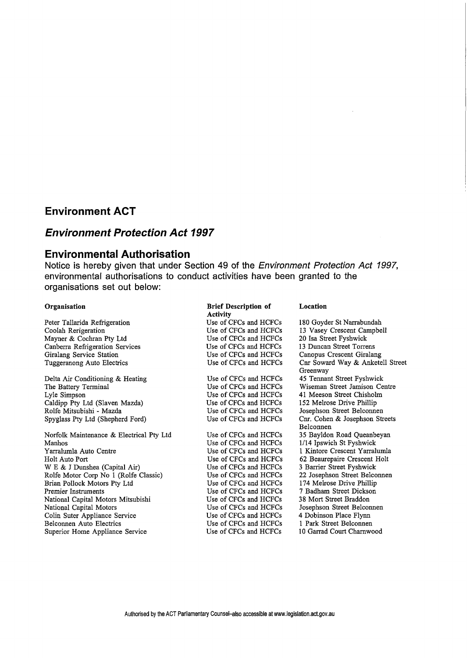## **Environment ACT**

# **Environment Protection Act 1997**

## **Environmental Authorisation**

Notice is hereby given that under Section 49 of the Environment Protection Act 1997, environmental authorisations to conduct activities have been granted to the organisations set out below:

### Organisation

Peter Tallarida Refrigeration Coolah Rerigeration Mayner & Cochran Pty Ltd Canberra Refrigeration Services Giralang Service Station Tuggeranong Auto Electrics

Delta Air Conditioning & Heating The Battery Terminal Lyle Simpson Caldipp Pty Ltd (Slaven Mazda) Rolfe Mitsubishi - Mazda Spyglass Pty Ltd (Shepherd Ford)

Norfolk Maintenance & Electrical Pty Ltd Manhos Yarralumla Auto Centre Holt Auto Port W E & J Dunshea (Capital Air) Rolfe Motor Corp No 1 (Rolfe Classic) Brian Pollock Motors Pty Ltd Premier Instruments National Capital Motors Mitsubishi National Capital Motors Colin Suter Appliance Service Belconnen Auto Electrics Superior Home Appliance Service

#### Brief Description of Activity

Use of CFCs and HCFCs Use of CFCs and HCFCs Use of CFCs and HCFCs Use of CFCs and HCFCs Use of CFCs and HCFCs Use of CFCs and HCFCs

Use of CFCs and HCFCs Use of CFCs and HCFCs Use of CFCs and HCFCs Use of CFCs and HCFCs Use of CFCs and HCFCs Use of CFCs and HCFCs

Use of CFCs and HCFCs Use of CFCs and HCFCs Use of CFCs and HCFCs Use of CFCs and HCFCs Use of CFCs and HCFCs Use of CFCs and HCFCs Use of CFCs and HCFCs Use of CFCs and HCFCs Use of CFCs and HCFCs Use of CFCs and HCFCs Use of CFCs and HCFCs Use of CFCs and HCFCs Use of CFCs and HCFCs

### Location

180 Goyder St Narrabundah 13 Vasey Crescent Campbell 20 Isa Street Fyshwick 13 Duncan Street Torrens Canopus Crescent Giralang Cnr Soward Way & Anketell Street Greenway 45 Tennant Street Fyshwick Wiseman Street Jamison Centre 41 Meeson Street Chisholm 152 Melrose Drive Phillip Josephson Street Belconnen Cnr. Cohen & Josephson Streets Belconnen 35 Bayldon Road Queanbeyan 1/14 Ipswich St Fyshwick 1 Kintore Crescent Yarralumla 62 Beaurepaire Crescent Holt 3 Barrier Street Fyshwick 22 Josephson Street Belconnen 174 Melrose Drive Phillip 7 Badham Street Dickson 38 Mort Street Braddon Josephson Street Belconnen 4 Dobinson Place Flynn 1 Park Street Belconnen 10 Garrad Court Charnwood